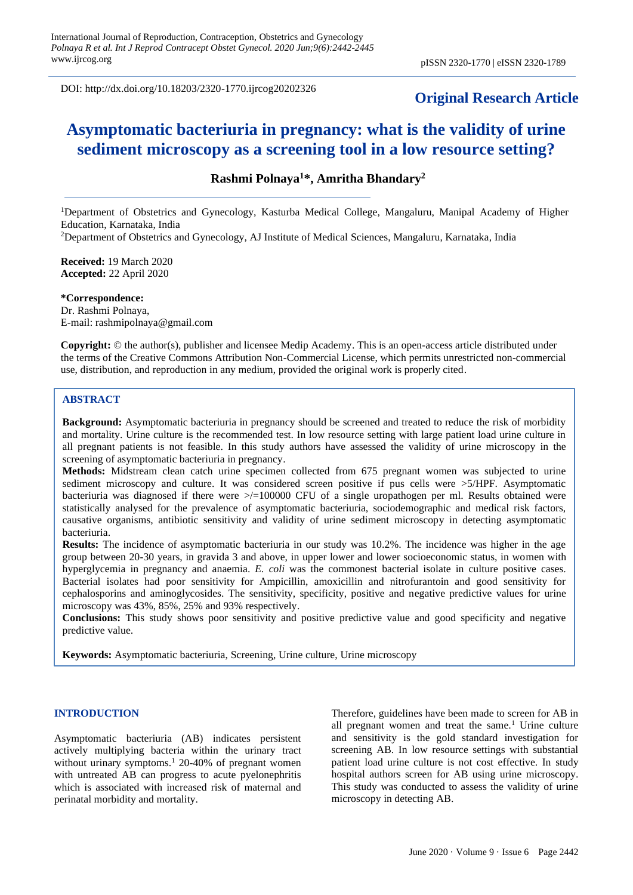DOI: http://dx.doi.org/10.18203/2320-1770.ijrcog20202326

# **Original Research Article**

# **Asymptomatic bacteriuria in pregnancy: what is the validity of urine sediment microscopy as a screening tool in a low resource setting?**

# **Rashmi Polnaya<sup>1</sup>\*, Amritha Bhandary<sup>2</sup>**

<sup>1</sup>Department of Obstetrics and Gynecology, Kasturba Medical College, Mangaluru, Manipal Academy of Higher Education, Karnataka, India

<sup>2</sup>Department of Obstetrics and Gynecology, AJ Institute of Medical Sciences, Mangaluru, Karnataka, India

**Received:** 19 March 2020 **Accepted:** 22 April 2020

**\*Correspondence:** Dr. Rashmi Polnaya, E-mail: rashmipolnaya@gmail.com

**Copyright:** © the author(s), publisher and licensee Medip Academy. This is an open-access article distributed under the terms of the Creative Commons Attribution Non-Commercial License, which permits unrestricted non-commercial use, distribution, and reproduction in any medium, provided the original work is properly cited.

# **ABSTRACT**

**Background:** Asymptomatic bacteriuria in pregnancy should be screened and treated to reduce the risk of morbidity and mortality. Urine culture is the recommended test. In low resource setting with large patient load urine culture in all pregnant patients is not feasible. In this study authors have assessed the validity of urine microscopy in the screening of asymptomatic bacteriuria in pregnancy.

**Methods:** Midstream clean catch urine specimen collected from 675 pregnant women was subjected to urine sediment microscopy and culture. It was considered screen positive if pus cells were >5/HPF. Asymptomatic bacteriuria was diagnosed if there were >/=100000 CFU of a single uropathogen per ml. Results obtained were statistically analysed for the prevalence of asymptomatic bacteriuria, sociodemographic and medical risk factors, causative organisms, antibiotic sensitivity and validity of urine sediment microscopy in detecting asymptomatic bacteriuria.

**Results:** The incidence of asymptomatic bacteriuria in our study was 10.2%. The incidence was higher in the age group between 20-30 years, in gravida 3 and above, in upper lower and lower socioeconomic status, in women with hyperglycemia in pregnancy and anaemia. *E. coli* was the commonest bacterial isolate in culture positive cases. Bacterial isolates had poor sensitivity for Ampicillin, amoxicillin and nitrofurantoin and good sensitivity for cephalosporins and aminoglycosides. The sensitivity, specificity, positive and negative predictive values for urine microscopy was 43%, 85%, 25% and 93% respectively.

**Conclusions:** This study shows poor sensitivity and positive predictive value and good specificity and negative predictive value.

**Keywords:** Asymptomatic bacteriuria, Screening, Urine culture, Urine microscopy

## **INTRODUCTION**

Asymptomatic bacteriuria (AB) indicates persistent actively multiplying bacteria within the urinary tract without urinary symptoms.<sup>1</sup> 20-40% of pregnant women with untreated AB can progress to acute pyelonephritis which is associated with increased risk of maternal and perinatal morbidity and mortality.

Therefore, guidelines have been made to screen for AB in all pregnant women and treat the same.<sup>1</sup> Urine culture and sensitivity is the gold standard investigation for screening AB. In low resource settings with substantial patient load urine culture is not cost effective. In study hospital authors screen for AB using urine microscopy. This study was conducted to assess the validity of urine microscopy in detecting AB.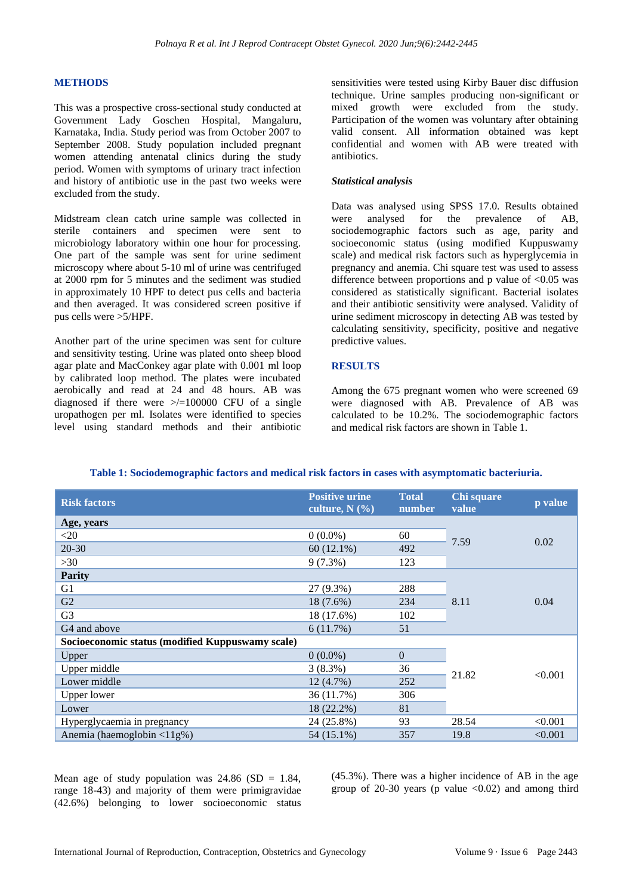## **METHODS**

This was a prospective cross-sectional study conducted at Government Lady Goschen Hospital, Mangaluru, Karnataka, India. Study period was from October 2007 to September 2008. Study population included pregnant women attending antenatal clinics during the study period. Women with symptoms of urinary tract infection and history of antibiotic use in the past two weeks were excluded from the study.

Midstream clean catch urine sample was collected in sterile containers and specimen were sent to microbiology laboratory within one hour for processing. One part of the sample was sent for urine sediment microscopy where about 5-10 ml of urine was centrifuged at 2000 rpm for 5 minutes and the sediment was studied in approximately 10 HPF to detect pus cells and bacteria and then averaged. It was considered screen positive if pus cells were >5/HPF.

Another part of the urine specimen was sent for culture and sensitivity testing. Urine was plated onto sheep blood agar plate and MacConkey agar plate with 0.001 ml loop by calibrated loop method. The plates were incubated aerobically and read at 24 and 48 hours. AB was diagnosed if there were  $\ge$ /=100000 CFU of a single uropathogen per ml. Isolates were identified to species level using standard methods and their antibiotic sensitivities were tested using Kirby Bauer disc diffusion technique. Urine samples producing non-significant or mixed growth were excluded from the study. Participation of the women was voluntary after obtaining valid consent. All information obtained was kept confidential and women with AB were treated with antibiotics.

#### *Statistical analysis*

Data was analysed using SPSS 17.0. Results obtained were analysed for the prevalence of AB, sociodemographic factors such as age, parity and socioeconomic status (using modified Kuppuswamy scale) and medical risk factors such as hyperglycemia in pregnancy and anemia. Chi square test was used to assess difference between proportions and p value of  $< 0.05$  was considered as statistically significant. Bacterial isolates and their antibiotic sensitivity were analysed. Validity of urine sediment microscopy in detecting AB was tested by calculating sensitivity, specificity, positive and negative predictive values.

#### **RESULTS**

Among the 675 pregnant women who were screened 69 were diagnosed with AB. Prevalence of AB was calculated to be 10.2%. The sociodemographic factors and medical risk factors are shown in Table 1.

| <b>Risk factors</b>                              | <b>Positive urine</b><br>culture, $N$ $(\frac{9}{6})$ | <b>Total</b><br>number | Chi square<br>value | p value |
|--------------------------------------------------|-------------------------------------------------------|------------------------|---------------------|---------|
| Age, years                                       |                                                       |                        |                     | 0.02    |
| $\leq 20$                                        | $0(0.0\%)$                                            | 60                     | 7.59                |         |
| $20 - 30$                                        | $60(12.1\%)$                                          | 492                    |                     |         |
| $>30$                                            | $9(7.3\%)$                                            | 123                    |                     |         |
| <b>Parity</b>                                    |                                                       |                        |                     |         |
| G <sub>1</sub>                                   | 27 (9.3%)                                             | 288                    |                     | 0.04    |
| G2                                               | 18 (7.6%)                                             | 234                    | 8.11                |         |
| G <sub>3</sub>                                   | 18 (17.6%)                                            | 102                    |                     |         |
| G <sub>4</sub> and above                         | 6(11.7%)                                              | 51                     |                     |         |
| Socioeconomic status (modified Kuppuswamy scale) |                                                       |                        |                     |         |
| Upper                                            | $0(0.0\%)$                                            | $\Omega$               |                     | < 0.001 |
| Upper middle                                     | $3(8.3\%)$                                            | 36                     |                     |         |
| Lower middle                                     | $12(4.7\%)$                                           | 252                    | 21.82               |         |
| Upper lower                                      | 36 (11.7%)                                            | 306                    |                     |         |
| Lower                                            | 18 (22.2%)                                            | 81                     |                     |         |
| Hyperglycaemia in pregnancy                      | 24 (25.8%)                                            | 93                     | 28.54               | < 0.001 |
| Anemia (haemoglobin $\langle 11g\% \rangle$ )    | 54 (15.1%)                                            | 357                    | 19.8                | < 0.001 |

#### **Table 1: Sociodemographic factors and medical risk factors in cases with asymptomatic bacteriuria.**

Mean age of study population was  $24.86$  (SD = 1.84, range 18-43) and majority of them were primigravidae (42.6%) belonging to lower socioeconomic status (45.3%). There was a higher incidence of AB in the age group of 20-30 years (p value  $\langle 0.02 \rangle$ ) and among third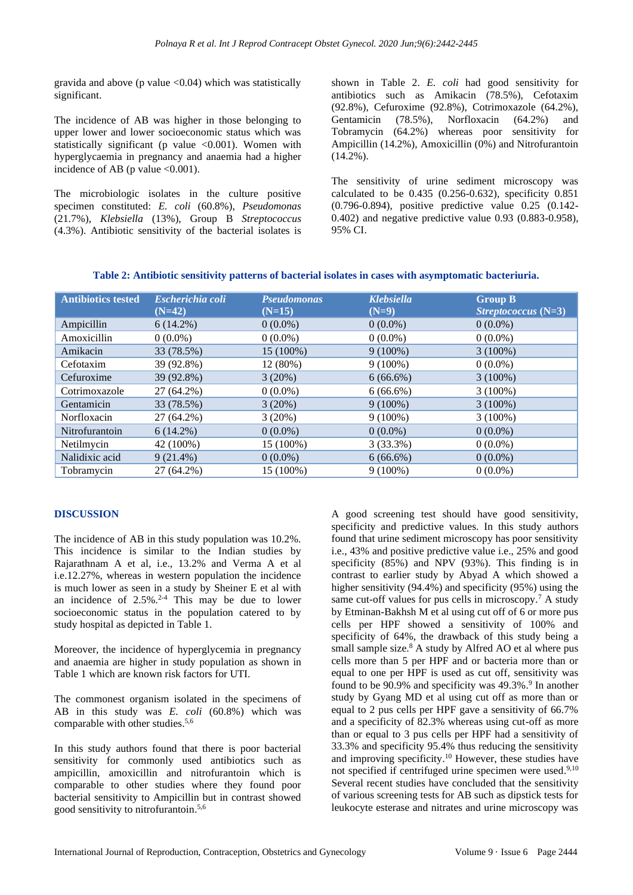gravida and above ( $p$  value  $\langle 0.04 \rangle$  which was statistically significant.

The incidence of AB was higher in those belonging to upper lower and lower socioeconomic status which was statistically significant (p value  $\langle 0.001 \rangle$ ). Women with hyperglycaemia in pregnancy and anaemia had a higher incidence of AB (p value  $<0.001$ ).

The microbiologic isolates in the culture positive specimen constituted: *E. coli* (60.8%), *Pseudomonas* (21.7%), *Klebsiella* (13%), Group B *Streptococcus* (4.3%). Antibiotic sensitivity of the bacterial isolates is shown in Table 2. *E. coli* had good sensitivity for antibiotics such as Amikacin (78.5%), Cefotaxim (92.8%), Cefuroxime (92.8%), Cotrimoxazole (64.2%), Gentamicin (78.5%), Norfloxacin (64.2%) and Tobramycin (64.2%) whereas poor sensitivity for Ampicillin (14.2%), Amoxicillin (0%) and Nitrofurantoin (14.2%).

The sensitivity of urine sediment microscopy was calculated to be 0.435 (0.256-0.632), specificity 0.851 (0.796-0.894), positive predictive value 0.25 (0.142- 0.402) and negative predictive value 0.93 (0.883-0.958), 95% CI.

| <b>Antibiotics tested</b> | Escherichia coli<br>$(N=42)$ | <b>Pseudomonas</b><br>$(N=15)$ | <b>Klebsiella</b><br>$(N=9)$ | <b>Group B</b><br><i>Streptococcus</i> $(N=3)$ |
|---------------------------|------------------------------|--------------------------------|------------------------------|------------------------------------------------|
| Ampicillin                | $6(14.2\%)$                  | $0(0.0\%)$                     | $0(0.0\%)$                   | $0(0.0\%)$                                     |
| Amoxicillin               | $0(0.0\%)$                   | $0(0.0\%)$                     | $0(0.0\%)$                   | $0(0.0\%)$                                     |
| Amikacin                  | 33 (78.5%)                   | 15 (100%)                      | $9(100\%)$                   | $3(100\%)$                                     |
| Cefotaxim                 | 39 (92.8%)                   | 12 (80%)                       | $9(100\%)$                   | $0(0.0\%)$                                     |
| Cefuroxime                | 39 (92.8%)                   | 3(20%)                         | $6(66.6\%)$                  | $3(100\%)$                                     |
| Cotrimoxazole             | 27 (64.2%)                   | $0(0.0\%)$                     | $6(66.6\%)$                  | $3(100\%)$                                     |
| Gentamicin                | 33 (78.5%)                   | 3(20%)                         | $9(100\%)$                   | $3(100\%)$                                     |
| Norfloxacin               | 27 (64.2%)                   | 3(20%)                         | $9(100\%)$                   | $3(100\%)$                                     |
| Nitrofurantoin            | $6(14.2\%)$                  | $0(0.0\%)$                     | $0(0.0\%)$                   | $0(0.0\%)$                                     |
| Netilmycin                | 42 (100%)                    | 15 (100%)                      | 3(33.3%)                     | $0(0.0\%)$                                     |
| Nalidixic acid            | $9(21.4\%)$                  | $0(0.0\%)$                     | $6(66.6\%)$                  | $0(0.0\%)$                                     |
| Tobramycin                | 27 (64.2%)                   | 15 (100%)                      | $9(100\%)$                   | $0(0.0\%)$                                     |

## **DISCUSSION**

The incidence of AB in this study population was 10.2%. This incidence is similar to the Indian studies by Rajarathnam A et al, i.e., 13.2% and Verma A et al i.e.12.27%, whereas in western population the incidence is much lower as seen in a study by Sheiner E et al with an incidence of  $2.5\%$ <sup>2-4</sup> This may be due to lower socioeconomic status in the population catered to by study hospital as depicted in Table 1.

Moreover, the incidence of hyperglycemia in pregnancy and anaemia are higher in study population as shown in Table 1 which are known risk factors for UTI.

The commonest organism isolated in the specimens of AB in this study was *E. coli* (60.8%) which was comparable with other studies. 5,6

In this study authors found that there is poor bacterial sensitivity for commonly used antibiotics such as ampicillin, amoxicillin and nitrofurantoin which is comparable to other studies where they found poor bacterial sensitivity to Ampicillin but in contrast showed good sensitivity to nitrofurantoin. 5,6

A good screening test should have good sensitivity, specificity and predictive values. In this study authors found that urine sediment microscopy has poor sensitivity i.e., 43% and positive predictive value i.e., 25% and good specificity (85%) and NPV (93%). This finding is in contrast to earlier study by Abyad A which showed a higher sensitivity (94.4%) and specificity (95%) using the same cut-off values for pus cells in microscopy.<sup>7</sup> A study by Etminan-Bakhsh M et al using cut off of 6 or more pus cells per HPF showed a sensitivity of 100% and specificity of 64%, the drawback of this study being a small sample size. $8$  A study by Alfred AO et al where pus cells more than 5 per HPF and or bacteria more than or equal to one per HPF is used as cut off, sensitivity was found to be 90.9% and specificity was 49.3%.<sup>9</sup> In another study by Gyang MD et al using cut off as more than or equal to 2 pus cells per HPF gave a sensitivity of 66.7% and a specificity of 82.3% whereas using cut-off as more than or equal to 3 pus cells per HPF had a sensitivity of 33.3% and specificity 95.4% thus reducing the sensitivity and improving specificity. <sup>10</sup> However, these studies have not specified if centrifuged urine specimen were used.<sup>9,10</sup> Several recent studies have concluded that the sensitivity of various screening tests for AB such as dipstick tests for leukocyte esterase and nitrates and urine microscopy was